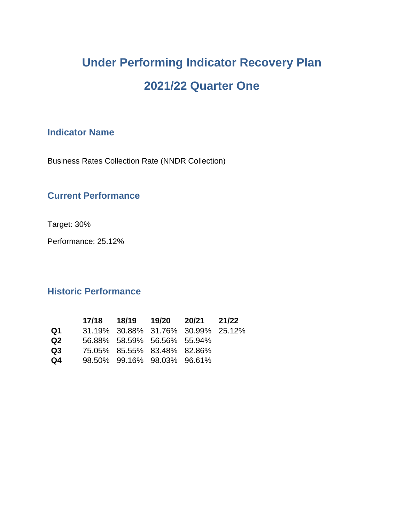# **Under Performing Indicator Recovery Plan 2021/22 Quarter One**

# **Indicator Name**

Business Rates Collection Rate (NNDR Collection)

## **Current Performance**

Target: 30%

Performance: 25.12%

## **Historic Performance**

|     |  |                             | 17/18 18/19 19/20 20/21 21/22      |  |
|-----|--|-----------------------------|------------------------------------|--|
| Q1. |  |                             | 31.19% 30.88% 31.76% 30.99% 25.12% |  |
| Q2. |  | 56.88% 58.59% 56.56% 55.94% |                                    |  |
| Q3  |  | 75.05% 85.55% 83.48% 82.86% |                                    |  |
| Q4  |  | 98.50% 99.16% 98.03% 96.61% |                                    |  |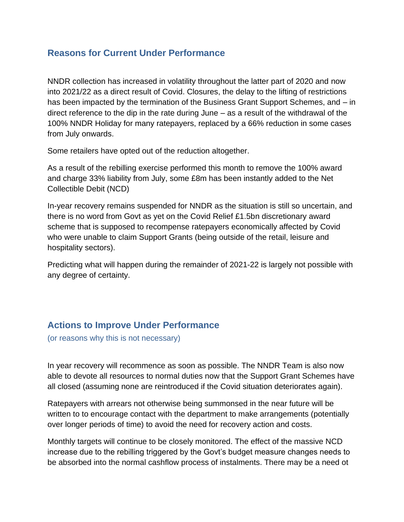## **Reasons for Current Under Performance**

NNDR collection has increased in volatility throughout the latter part of 2020 and now into 2021/22 as a direct result of Covid. Closures, the delay to the lifting of restrictions has been impacted by the termination of the Business Grant Support Schemes, and – in direct reference to the dip in the rate during June – as a result of the withdrawal of the 100% NNDR Holiday for many ratepayers, replaced by a 66% reduction in some cases from July onwards.

Some retailers have opted out of the reduction altogether.

As a result of the rebilling exercise performed this month to remove the 100% award and charge 33% liability from July, some £8m has been instantly added to the Net Collectible Debit (NCD)

In-year recovery remains suspended for NNDR as the situation is still so uncertain, and there is no word from Govt as yet on the Covid Relief £1.5bn discretionary award scheme that is supposed to recompense ratepayers economically affected by Covid who were unable to claim Support Grants (being outside of the retail, leisure and hospitality sectors).

Predicting what will happen during the remainder of 2021-22 is largely not possible with any degree of certainty.

## **Actions to Improve Under Performance**

(or reasons why this is not necessary)

In year recovery will recommence as soon as possible. The NNDR Team is also now able to devote all resources to normal duties now that the Support Grant Schemes have all closed (assuming none are reintroduced if the Covid situation deteriorates again).

Ratepayers with arrears not otherwise being summonsed in the near future will be written to to encourage contact with the department to make arrangements (potentially over longer periods of time) to avoid the need for recovery action and costs.

Monthly targets will continue to be closely monitored. The effect of the massive NCD increase due to the rebilling triggered by the Govt's budget measure changes needs to be absorbed into the normal cashflow process of instalments. There may be a need ot